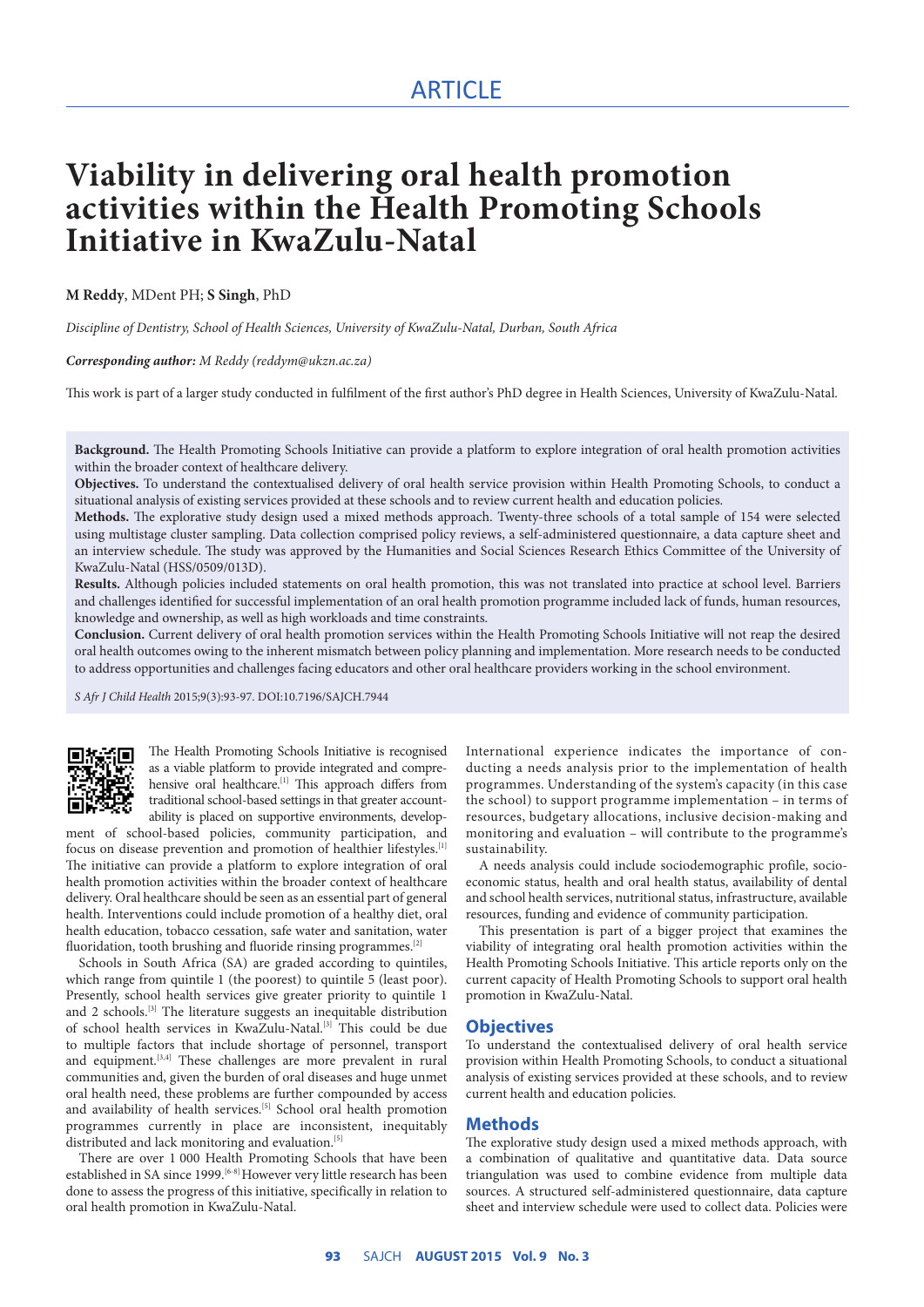## ARTICLE

# **Viability in delivering oral health promotion activities within the Health Promoting Schools Initiative in KwaZulu-Natal**

#### **M Reddy**, MDent PH; **S Singh**, PhD

*Discipline of Dentistry, School of Health Sciences, University of KwaZulu-Natal, Durban, South Africa*

#### *Corresponding author: M Reddy (reddym@ukzn.ac.za)*

This work is part of a larger study conducted in fulfilment of the first author's PhD degree in Health Sciences, University of KwaZulu-Natal.

**Background.** The Health Promoting Schools Initiative can provide a platform to explore integration of oral health promotion activities within the broader context of healthcare delivery.

**Objectives.** To understand the contextualised delivery of oral health service provision within Health Promoting Schools, to conduct a situational analysis of existing services provided at these schools and to review current health and education policies.

**Methods.** The explorative study design used a mixed methods approach. Twenty-three schools of a total sample of 154 were selected using multistage cluster sampling. Data collection comprised policy reviews, a self-administered questionnaire, a data capture sheet and an interview schedule. The study was approved by the Humanities and Social Sciences Research Ethics Committee of the University of KwaZulu-Natal (HSS/0509/013D).

**Results.** Although policies included statements on oral health promotion, this was not translated into practice at school level. Barriers and challenges identified for successful implementation of an oral health promotion programme included lack of funds, human resources, knowledge and ownership, as well as high workloads and time constraints.

**Conclusion.** Current delivery of oral health promotion services within the Health Promoting Schools Initiative will not reap the desired oral health outcomes owing to the inherent mismatch between policy planning and implementation. More research needs to be conducted to address opportunities and challenges facing educators and other oral healthcare providers working in the school environment.

*S Afr J Child Health* 2015;9(3):93-97. DOI:10.7196/SAJCH.7944



The Health Promoting Schools Initiative is recognised as a viable platform to provide integrated and comprehensive oral healthcare.<sup>[1]</sup> This approach differs from traditional school-based settings in that greater accountability is placed on supportive environments, develop-

ment of school-based policies, community participation, and focus on disease prevention and promotion of healthier lifestyles.[1] The initiative can provide a platform to explore integration of oral health promotion activities within the broader context of healthcare delivery. Oral healthcare should be seen as an essential part of general health. Interventions could include promotion of a healthy diet, oral health education, tobacco cessation, safe water and sanitation, water fluoridation, tooth brushing and fluoride rinsing programmes.<sup>[2]</sup>

Schools in South Africa (SA) are graded according to quintiles, which range from quintile 1 (the poorest) to quintile 5 (least poor). Presently, school health services give greater priority to quintile 1 and 2 schools.<sup>[3]</sup> The literature suggests an inequitable distribution of school health services in KwaZulu-Natal.[3] This could be due to multiple factors that include shortage of personnel, transport and equipment.<sup>[3,4]</sup> These challenges are more prevalent in rural communities and, given the burden of oral diseases and huge unmet oral health need, these problems are further compounded by access and availability of health services.<sup>[5]</sup> School oral health promotion programmes currently in place are inconsistent, inequitably distributed and lack monitoring and evaluation.<sup>[5]</sup>

There are over 1 000 Health Promoting Schools that have been established in SA since 1999.<sup>[6-8]</sup> However very little research has been done to assess the progress of this initiative, specifically in relation to oral health promotion in KwaZulu-Natal.

International experience indicates the importance of conducting a needs analysis prior to the implementation of health programmes. Understanding of the system's capacity (in this case the school) to support programme implementation – in terms of resources, budgetary allocations, inclusive decision-making and monitoring and evaluation – will contribute to the programme's sustainability.

A needs analysis could include sociodemographic profile, socioeconomic status, health and oral health status, availability of dental and school health services, nutritional status, infrastructure, available resources, funding and evidence of community participation.

This presentation is part of a bigger project that examines the viability of integrating oral health promotion activities within the Health Promoting Schools Initiative. This article reports only on the current capacity of Health Promoting Schools to support oral health promotion in KwaZulu-Natal.

#### **Objectives**

To understand the contextualised delivery of oral health service provision within Health Promoting Schools, to conduct a situational analysis of existing services provided at these schools, and to review current health and education policies.

#### **Methods**

The explorative study design used a mixed methods approach, with a combination of qualitative and quantitative data. Data source triangulation was used to combine evidence from multiple data sources. A structured self-administered questionnaire, data capture sheet and interview schedule were used to collect data. Policies were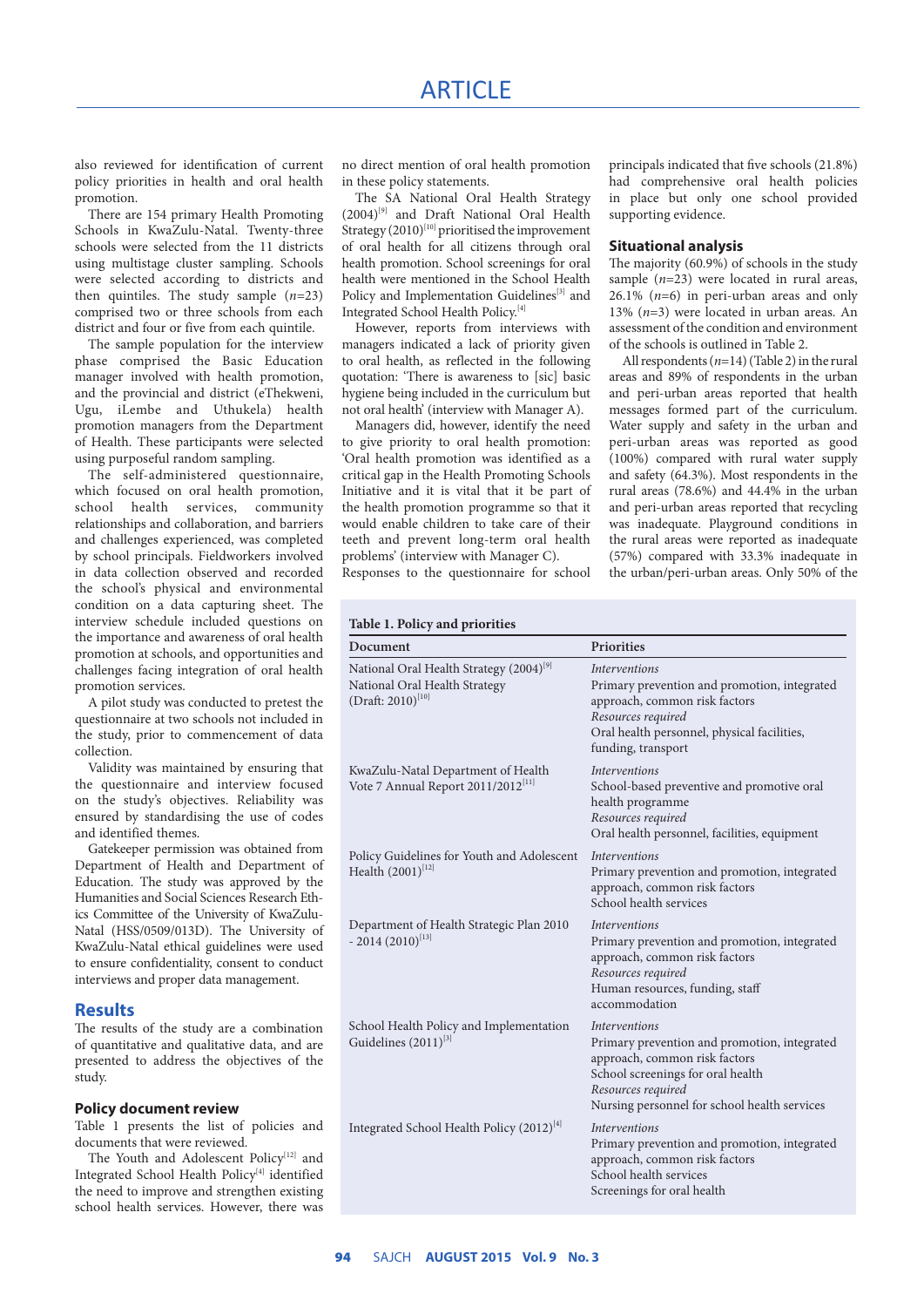## **ARTICLE**

also reviewed for identification of current policy priorities in health and oral health promotion.

There are 154 primary Health Promoting Schools in KwaZulu-Natal. Twenty-three schools were selected from the 11 districts using multistage cluster sampling. Schools were selected according to districts and then quintiles. The study sample (*n*=23) comprised two or three schools from each district and four or five from each quintile.

The sample population for the interview phase comprised the Basic Education manager involved with health promotion, and the provincial and district (eThekweni, Ugu, iLembe and Uthukela) health promotion managers from the Department of Health. These participants were selected using purposeful random sampling.

The self-administered questionnaire, which focused on oral health promotion, school health services, community relationships and collaboration, and barriers and challenges experienced, was completed by school principals. Fieldworkers involved in data collection observed and recorded the school's physical and environmental condition on a data capturing sheet. The interview schedule included questions on the importance and awareness of oral health promotion at schools, and opportunities and challenges facing integration of oral health promotion services.

A pilot study was conducted to pretest the questionnaire at two schools not included in the study, prior to commencement of data collection.

Validity was maintained by ensuring that the questionnaire and interview focused on the study's objectives. Reliability was ensured by standardising the use of codes and identified themes.

Gatekeeper permission was obtained from Department of Health and Department of Education. The study was approved by the Humanities and Social Sciences Research Ethics Committee of the University of KwaZulu--Natal (HSS/0509/013D). The University of KwaZulu-Natal ethical guidelines were used to ensure confidentiality, consent to conduct interviews and proper data management.

#### **Results**

The results of the study are a combination of quantitative and qualitative data, and are presented to address the objectives of the study.

#### **Policy document review**

Table 1 presents the list of policies and documents that were reviewed.

The Youth and Adolescent Policy<sup>[12]</sup> and Integrated School Health Policy<sup>[4]</sup> identified the need to improve and strengthen existing school health services. However, there was no direct mention of oral health promotion in these policy statements.

The SA National Oral Health Strategy  $(2004)^{[9]}$  and Draft National Oral Health Strategy  $(2010)^{[10]}$  prioritised the improvement of oral health for all citizens through oral health promotion. School screenings for oral health were mentioned in the School Health Policy and Implementation Guidelines<sup>[3]</sup> and Integrated School Health Policy.[4]

However, reports from interviews with managers indicated a lack of priority given to oral health, as reflected in the following quotation: 'There is awareness to [sic] basic hygiene being included in the curriculum but not oral health' (interview with Manager A).

Managers did, however, identify the need to give priority to oral health promotion: 'Oral health promotion was identified as a critical gap in the Health Promoting Schools Initiative and it is vital that it be part of the health promotion programme so that it would enable children to take care of their teeth and prevent long-term oral health problems' (interview with Manager C).

Responses to the questionnaire for school

principals indicated that five schools (21.8%) had comprehensive oral health policies in place but only one school provided supporting evidence.

#### **Situational analysis**

The majority (60.9%) of schools in the study sample  $(n=23)$  were located in rural areas,  $26.1\%$  ( $n=6$ ) in peri-urban areas and only 13% (*n*=3) were located in urban areas. An assessment of the condition and environment of the schools is outlined in Table 2.

All respondents (*n*=14) (Table 2) in the rural areas and 89% of respondents in the urban and peri-urban areas reported that health messages formed part of the curriculum. Water supply and safety in the urban and peri-urban areas was reported as good (100%) compared with rural water supply and safety (64.3%). Most respondents in the rural areas (78.6%) and 44.4% in the urban and peri-urban areas reported that recycling was inadequate. Playground conditions in the rural areas were reported as inadequate (57%) compared with 33.3% inadequate in the urban/peri-urban areas. Only 50% of the

|  |  |  |  | Table 1. Policy and priorities |
|--|--|--|--|--------------------------------|
|--|--|--|--|--------------------------------|

| Document                                                                                                       | Priorities                                                                                                                                                                                                       |  |  |  |
|----------------------------------------------------------------------------------------------------------------|------------------------------------------------------------------------------------------------------------------------------------------------------------------------------------------------------------------|--|--|--|
| National Oral Health Strategy (2004) <sup>[9]</sup><br>National Oral Health Strategy<br>$(Draft: 2010)^{[10]}$ | <i>Interventions</i><br>Primary prevention and promotion, integrated<br>approach, common risk factors<br>Resources required<br>Oral health personnel, physical facilities,<br>funding, transport                 |  |  |  |
| KwaZulu-Natal Department of Health<br>Vote 7 Annual Report 2011/2012 <sup>[11]</sup>                           | <b>Interventions</b><br>School-based preventive and promotive oral<br>health programme<br>Resources required<br>Oral health personnel, facilities, equipment                                                     |  |  |  |
| Policy Guidelines for Youth and Adolescent<br>Health $(2001)^{[12]}$                                           | <b>Interventions</b><br>Primary prevention and promotion, integrated<br>approach, common risk factors<br>School health services                                                                                  |  |  |  |
| Department of Health Strategic Plan 2010<br>$-2014(2010)^{[13]}$                                               | <i>Interventions</i><br>Primary prevention and promotion, integrated<br>approach, common risk factors<br>Resources required<br>Human resources, funding, staff<br>accommodation                                  |  |  |  |
| School Health Policy and Implementation<br>Guidelines $(2011)^{[3]}$                                           | <i>Interventions</i><br>Primary prevention and promotion, integrated<br>approach, common risk factors<br>School screenings for oral health<br>Resources required<br>Nursing personnel for school health services |  |  |  |
| Integrated School Health Policy $(2012)^{[4]}$                                                                 | <i>Interventions</i><br>Primary prevention and promotion, integrated<br>approach, common risk factors<br>School health services<br>Screenings for oral health                                                    |  |  |  |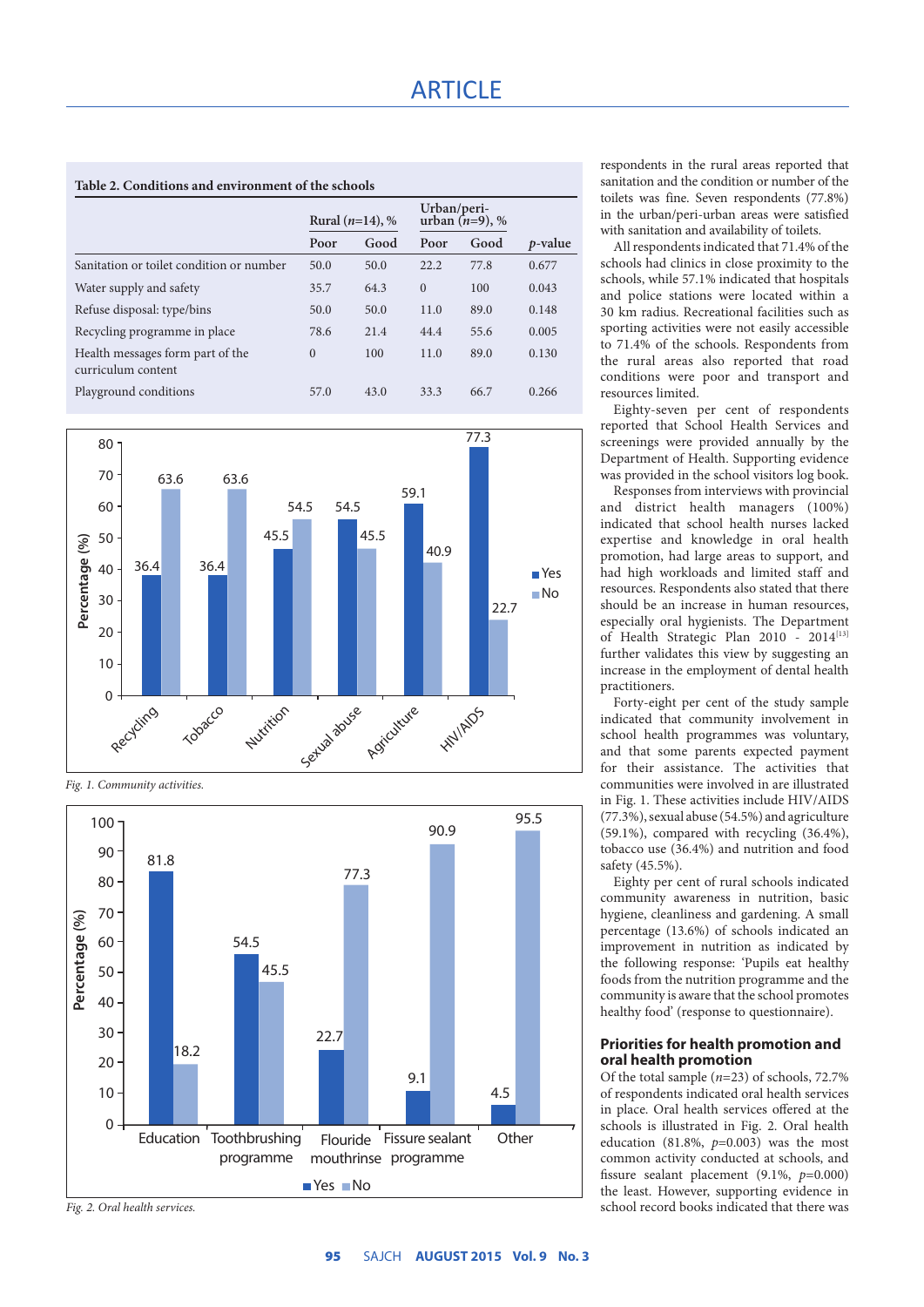| Table 2. Conditions and environment of the schools     |                    |      |                                  |      |            |  |  |  |  |
|--------------------------------------------------------|--------------------|------|----------------------------------|------|------------|--|--|--|--|
|                                                        | Rural $(n=14)$ , % |      | Urban/peri-<br>urban $(n=9)$ , % |      |            |  |  |  |  |
|                                                        | Poor               | Good | Poor                             | Good | $p$ -value |  |  |  |  |
| Sanitation or toilet condition or number               | 50.0               | 50.0 | 22.2                             | 77.8 | 0.677      |  |  |  |  |
| Water supply and safety                                | 35.7               | 64.3 | $\Omega$                         | 100  | 0.043      |  |  |  |  |
| Refuse disposal: type/bins                             | 50.0               | 50.0 | 11.0                             | 89.0 | 0.148      |  |  |  |  |
| Recycling programme in place                           | 78.6               | 21.4 | 44.4                             | 55.6 | 0.005      |  |  |  |  |
| Health messages form part of the<br>curriculum content | $\Omega$           | 100  | 11.0                             | 89.0 | 0.130      |  |  |  |  |
| Playground conditions                                  | 57.0               | 43.0 | 33.3                             | 66.7 | 0.266      |  |  |  |  |



*Fig. 1. Community activities.*



*Fig. 2. Oral health services.*

respondents in the rural areas reported that sanitation and the condition or number of the toilets was fine. Seven respondents (77.8%) in the urban/peri-urban areas were satisfied with sanitation and availability of toilets.

All respondents indicated that 71.4% of the schools had clinics in close proximity to the schools, while 57.1% indicated that hospitals and police stations were located within a 30 km radius. Recreational facilities such as sporting activities were not easily accessible to 71.4% of the schools. Respondents from the rural areas also reported that road conditions were poor and transport and resources limited.

Eighty-seven per cent of respondents reported that School Health Services and screenings were provided annually by the Department of Health. Supporting evidence was provided in the school visitors log book.

Responses from interviews with provincial and district health managers (100%) indicated that school health nurses lacked expertise and knowledge in oral health promotion, had large areas to support, and had high workloads and limited staff and resources. Respondents also stated that there should be an increase in human resources, especially oral hygienists. The Department of Health Strategic Plan 2010 - 2014<sup>[13]</sup> further validates this view by suggesting an increase in the employment of dental health practitioners.

Forty-eight per cent of the study sample indicated that community involvement in school health programmes was voluntary, and that some parents expected payment for their assistance. The activities that communities were involved in are illustrated in Fig. 1. These activities include HIV/AIDS (77.3%), sexual abuse (54.5%) and agriculture (59.1%), compared with recycling (36.4%), tobacco use (36.4%) and nutrition and food safety (45.5%).

Eighty per cent of rural schools indicated community awareness in nutrition, basic hygiene, cleanliness and gardening. A small percentage (13.6%) of schools indicated an improvement in nutrition as indicated by the following response: 'Pupils eat healthy foods from the nutrition programme and the community is aware that the school promotes healthy food' (response to questionnaire).

#### **Priorities for health promotion and oral health promotion**

Of the total sample (*n*=23) of schools, 72.7% of respondents indicated oral health services in place. Oral health services offered at the schools is illustrated in Fig. 2. Oral health education (81.8%, *p*=0.003) was the most common activity conducted at schools, and fissure sealant placement (9.1%, *p*=0.000) the least. However, supporting evidence in school record books indicated that there was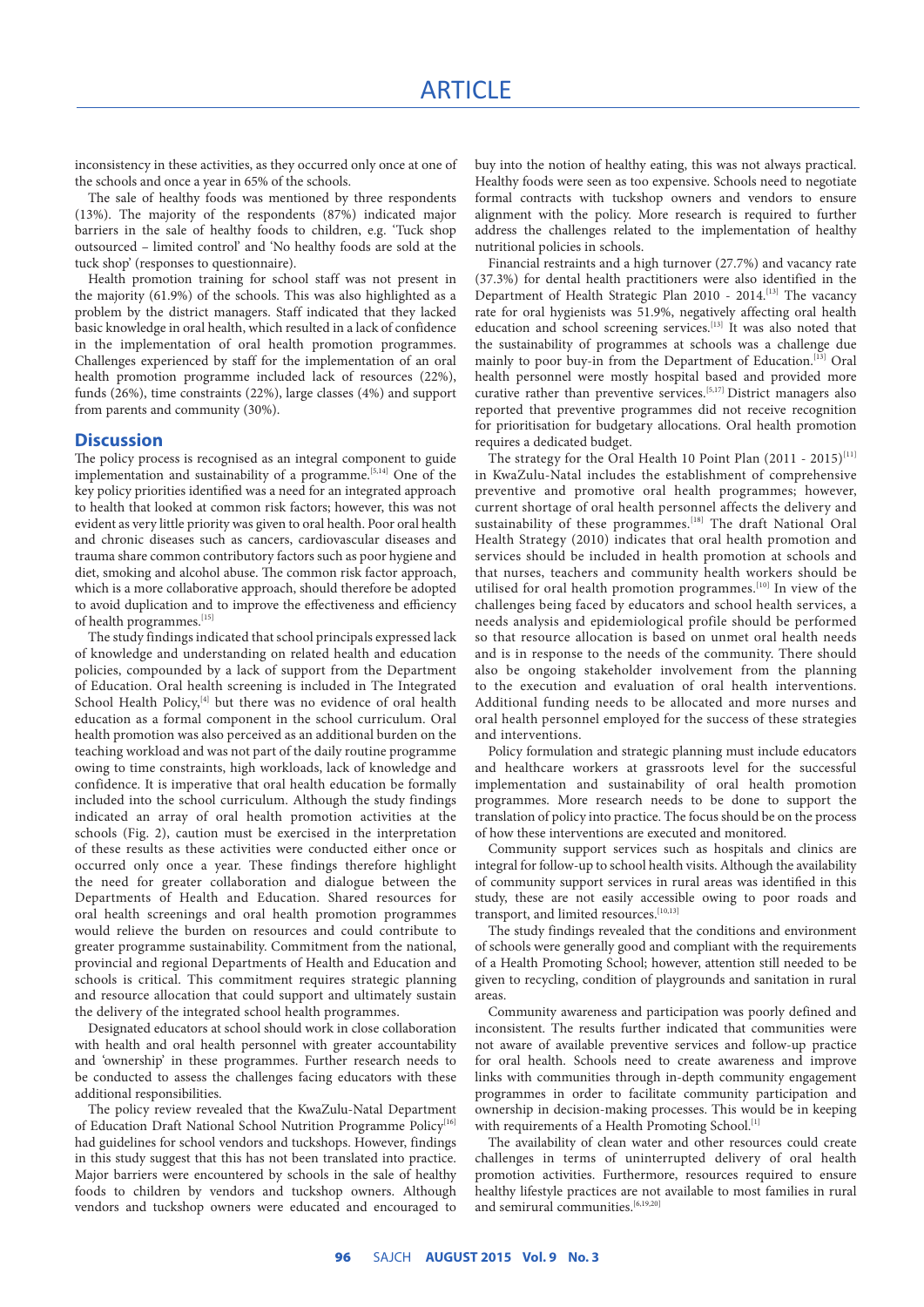inconsistency in these activities, as they occurred only once at one of the schools and once a year in 65% of the schools.

The sale of healthy foods was mentioned by three respondents (13%). The majority of the respondents (87%) indicated major barriers in the sale of healthy foods to children, e.g. 'Tuck shop outsourced – limited control' and 'No healthy foods are sold at the tuck shop' (responses to questionnaire).

Health promotion training for school staff was not present in the majority (61.9%) of the schools. This was also highlighted as a problem by the district managers. Staff indicated that they lacked basic knowledge in oral health, which resulted in a lack of confidence in the implementation of oral health promotion programmes. Challenges experienced by staff for the implementation of an oral health promotion programme included lack of resources (22%), funds (26%), time constraints (22%), large classes (4%) and support from parents and community (30%).

#### **Discussion**

The policy process is recognised as an integral component to guide implementation and sustainability of a programme.[5,14] One of the key policy priorities identified was a need for an integrated approach to health that looked at common risk factors; however, this was not evident as very little priority was given to oral health. Poor oral health and chronic diseases such as cancers, cardiovascular diseases and trauma share common contributory factors such as poor hygiene and diet, smoking and alcohol abuse. The common risk factor approach, which is a more collaborative approach, should therefore be adopted to avoid duplication and to improve the effectiveness and efficiency of health programmes.<sup>[15]</sup>

The study findings indicated that school principals expressed lack of knowledge and understanding on related health and education policies, compounded by a lack of support from the Department of Education. Oral health screening is included in The Integrated School Health Policy,<sup>[4]</sup> but there was no evidence of oral health education as a formal component in the school curriculum. Oral health promotion was also perceived as an additional burden on the teaching workload and was not part of the daily routine programme owing to time constraints, high workloads, lack of knowledge and confidence. It is imperative that oral health education be formally included into the school curriculum. Although the study findings indicated an array of oral health promotion activities at the schools (Fig. 2), caution must be exercised in the interpretation of these results as these activities were conducted either once or occurred only once a year. These findings therefore highlight the need for greater collaboration and dialogue between the Departments of Health and Education. Shared resources for oral health screenings and oral health promotion programmes would relieve the burden on resources and could contribute to greater programme sustainability. Commitment from the national, provincial and regional Departments of Health and Education and schools is critical. This commitment requires strategic planning and resource allocation that could support and ultimately sustain the delivery of the integrated school health programmes.

Designated educators at school should work in close collaboration with health and oral health personnel with greater accountability and 'ownership' in these programmes. Further research needs to be conducted to assess the challenges facing educators with these additional responsibilities.

The policy review revealed that the KwaZulu-Natal Department of Education Draft National School Nutrition Programme Policy<sup>[16]</sup> had guidelines for school vendors and tuckshops. However, findings in this study suggest that this has not been translated into practice. Major barriers were encountered by schools in the sale of healthy foods to children by vendors and tuckshop owners. Although vendors and tuckshop owners were educated and encouraged to buy into the notion of healthy eating, this was not always practical. Healthy foods were seen as too expensive. Schools need to negotiate formal contracts with tuckshop owners and vendors to ensure alignment with the policy. More research is required to further address the challenges related to the implementation of healthy nutritional policies in schools.

Financial restraints and a high turnover (27.7%) and vacancy rate (37.3%) for dental health practitioners were also identified in the Department of Health Strategic Plan 2010 - 2014.[13] The vacancy rate for oral hygienists was 51.9%, negatively affecting oral health education and school screening services.[13] It was also noted that the sustainability of programmes at schools was a challenge due mainly to poor buy-in from the Department of Education.<sup>[13]</sup> Oral health personnel were mostly hospital based and provided more curative rather than preventive services.[5,17] District managers also reported that preventive programmes did not receive recognition for prioritisation for budgetary allocations. Oral health promotion requires a dedicated budget.

The strategy for the Oral Health 10 Point Plan  $(2011 - 2015)^{[11]}$ in KwaZulu-Natal includes the establishment of comprehensive preventive and promotive oral health programmes; however, current shortage of oral health personnel affects the delivery and sustainability of these programmes.<sup>[18]</sup> The draft National Oral Health Strategy (2010) indicates that oral health promotion and services should be included in health promotion at schools and that nurses, teachers and community health workers should be utilised for oral health promotion programmes.[10] In view of the challenges being faced by educators and school health services, a needs analysis and epidemiological profile should be performed so that resource allocation is based on unmet oral health needs and is in response to the needs of the community. There should also be ongoing stakeholder involvement from the planning to the execution and evaluation of oral health interventions. Additional funding needs to be allocated and more nurses and oral health personnel employed for the success of these strategies and interventions.

Policy formulation and strategic planning must include educators and healthcare workers at grassroots level for the successful implementation and sustainability of oral health promotion programmes. More research needs to be done to support the translation of policy into practice. The focus should be on the process of how these interventions are executed and monitored.

Community support services such as hospitals and clinics are integral for follow-up to school health visits. Although the availability of community support services in rural areas was identified in this study, these are not easily accessible owing to poor roads and transport, and limited resources.  $^{\left[10,13\right]}$ 

The study findings revealed that the conditions and environment of schools were generally good and compliant with the requirements of a Health Promoting School; however, attention still needed to be given to recycling, condition of playgrounds and sanitation in rural areas.

Community awareness and participation was poorly defined and inconsistent. The results further indicated that communities were not aware of available preventive services and follow-up practice for oral health. Schools need to create awareness and improve links with communities through in-depth community engagement programmes in order to facilitate community participation and ownership in decision-making processes. This would be in keeping with requirements of a Health Promoting School.<sup>[1]</sup>

The availability of clean water and other resources could create challenges in terms of uninterrupted delivery of oral health promotion activities. Furthermore, resources required to ensure healthy lifestyle practices are not available to most families in rural and semirural communities.<sup>[6,19,20]</sup>